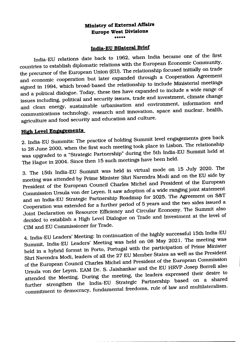#### **Ministry of External Affairs Europe West Divisions** \*\*\*\*

### **India-EU BUateral Brief**

India-EU relations date back to 1962. when India became one of the first countries to establish diplomatic relations with the European Economic Community, the precursor of the European Union (EU). The relationship focused initially on trade and economic cooperation but later expanded through a Cooperation Agreement signed in 1994, which broad-based the relationship to include Ministerial meetings and a political dialogue. Today, these ties have expanded to include a wide range of issues including. political and security issues. trade and investment. climate change and clean energy. sustainable urbanisation and environment. information and communications technology. research and innovation. space and nuclear. health. agriculture and food security and education and culture.

## **High Level Engagements**

2. India-EU Summits: The practice of holding Summit level engagements goes back to 28 June 2000. when the first such meeting took place in Lisbon.The relationship was upgraded to a "Strategic Partnership" during the 5th India-EU Summit held at The Hague in 2004. Since then 15 such meetings have been held.

3. The 15th India-EU Summit was held in virtual mode on 15 July 2020. The meetingwas attended by Prime Minister Shri Narendra Modiand on the EU side by President of the European Council Charles Michel and President of the European Commission Ursula von der Leyen. It saw adoption of a wide ranging joint statement and an India-EU Strategic Partnership Roadmap for 2025. The Agreement on S&T Cooperation was extended for a further period of 5 years and the two sides issued a Joint Declaration on Resource Efficiencyand Circular Economy.The Summit also decided to establish a High Level Dialogue on Trade and Investment at the level of CIM and EU Commissioner for Trade.

4. India-EU Leaders' Meeting: In continuation of the highly successful 15th India-EU Summit. India-EU Leaders' Meeting was held on 08 May 2021. The meeting was held in a hybrid format in Porto. Portugal with the participation of Prime Minister Shri Narendra Modi, leaders of all the 27 EU Member States as well as the President of the European Council Charles Michel and President of the European Commission Ursula von der Leyen. EAM Dr. S. Jaishankar and the EU HRVP Josep Borrell also attended the Meeting. During the meeting. the leaders expressed their desire to further strengthen the India-EU Strategic Partnership based on a shared commitment to democracy. fundamental freedoms. rule of law and multilateralism.

. \_------------------------------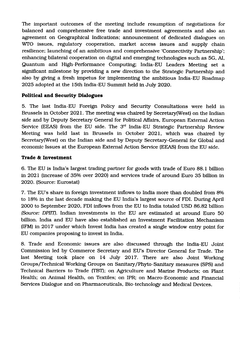The important outcomes of the meeting include resumption of negotiations for balanced and comprehensive free trade and investment agreements and also an agreement on Geographical Indications; announcement of dedicated dialogues on WTO issues, regulatory cooperation, market access issues and supply chain resilience; launching of an ambitious and comprehensive 'Connectivity Partnership'; enhancing bilateral cooperation on digital and emerging technologies such as 5G, AI, Quantum and High-Performance Computing; India-EU Leaders Meeting set a significant milestone by providing a new direction to the Strategic Partnership and also by giving a fresh impetus for implementing the ambitious India-EU Roadmap 2025 adopted at the 15th India-EU Summit held in July 2020.

### **Political and Security Dialogues**

5. The last India-EU Foreign Policy and Security Consultations were held in Brussels in October 2021. The meeting was chaired by Secretary(West) on the Indian side and by Deputy Secretary General for Political Affairs, European External Action Service (EEAS) from the EU side. The  $3<sup>rd</sup>$  India-EU Strategic Partnership Review Meeting was held last in Brussels in October 2021, which was chaired by Secretary(West) on the Indian side and by Deputy Secretary-General for Global and economic Issues at the European External Action Service (EEAS) from the EU side.

### **Trade & Investment**

6. The EU is India's largest trading partner for goods with trade of Euro 88.1 billion in 2021 (increase of 35% over 2020) and services trade of around Euro 35 billion in 2020. (Source: Eurostat)

7. The EU's share in foreign investment inflows to India more than doubled from 8% to 18% in the last decade making the EU India's largest source of FDI. During April 2000 to September 2020, FDI inflows from the EU to India totaled USD 86.82 billion *(Source: DPIIT).* Indian investments in the EU are estimated at around Euro 50 billion. India and EU have also established an Investment Facilitation Mechanism (IFM) in 2017 under which Invest India has created a single window entry point for EU companies proposing to invest in India.

8. Trade and Economic issues are also discussed through the India-EU Joint Commission led by Commerce Secretary and EU's Director General for Trade. The last Meeting took place on 14 July 2017. There are also Joint Working Groups/Technical Working Groups on Sanitary/Phyto-Sanitary measures (SPS) and Technical Barriers to Trade (TBT); on Agriculture and Marine Products; on Plant Health; on Animal Health, on Textiles; on IPR; on Macro-Economic and Financial Services Dialogue and on Pharmaceuticals, Bio-technology and Medical Devices.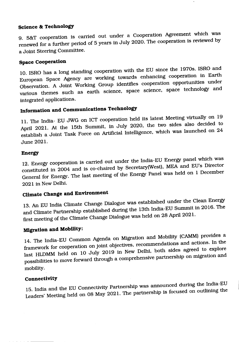### **Science & Technology**

9. S&T cooperation is carried out under a Cooperation Agreement which was renewed for a further period of 5 years in July 2020. The cooperation is reviewed by a Joint Steering Committee.

### **Space Cooperation**

10. ISRO has a long standing cooperation with the EU since the 1970s. ISRO and European Space Agency are working towards enhancing cooperation in Earth Observation. A Joint Working Group identifies cooperation opportunities under various themes such as earth science, space science, space technology and integrated applications.

# **Informa1;ion and Communications Technology**

11. The India- EU JWG on ICT cooperation held its latest Meeting virtually on 19 April 2021. At the 15th Summit, in July 2020, the two sides also decided to establish a Joint Task Force on Artificial Intelligence, which was launched on 24 June 2021.

### **Energy**

12. Energy cooperation is carried out under the India-ED Energy panel which was constituted in 2004 and is co-chaired by Secretary(West), MEA and EU's Director General for Energy. The last meeting of the Energy Panel was held on 1 December 2021 in NewDelhi.

# **Climate Change and Environment**

13. An ED India Climate Change Dialoguewas established under the Clean Energy and Climate Partnership established during the 13th India-EU Summit in 2016. The first meeting of the Climate Change Dialogue was held on 28 April 2021.

## **Migration and Mobility:**

.. \_ .. \_---- -. ----------------

14. The India-EU Common Agenda on Migration and Mobility (CAMM) provides a framework for cooperation on joint objectives, recommendations and actions. In the last HLDMM held on 10 July 2019 in New Delhi, both sides agreed to explore possibilities to move forward through a comprehensive partnership on migration and mobility.

#### **Connectivity**

15. India and the EU Connectivity Partnership was announced during the India-EU Leaders' Meeting held on 08 May 2021. The partnership is focused on outlining the